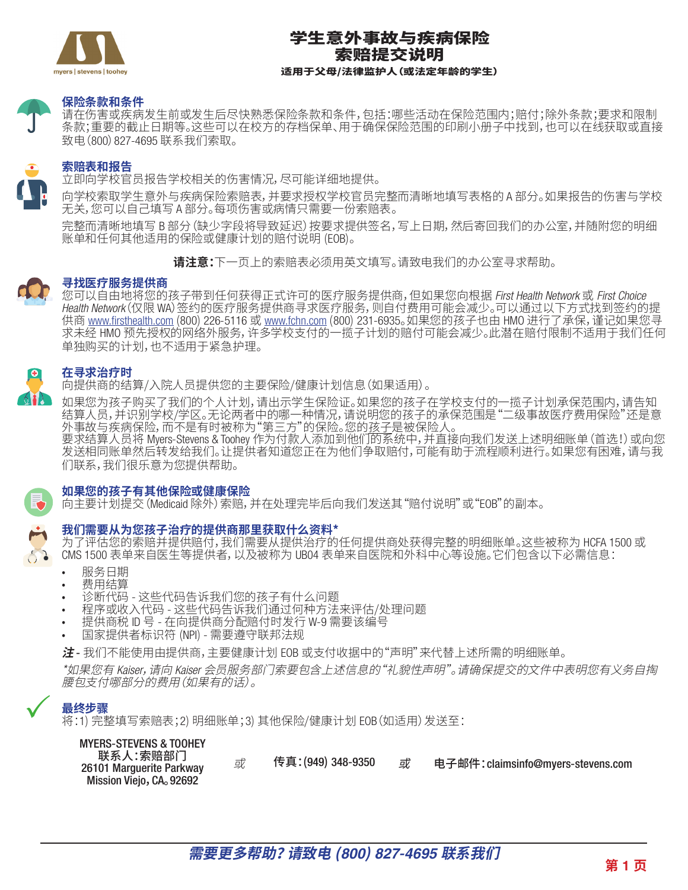

# 学生意外事故与疾病保险 索赔提交说明 适用于父母/法律监护人(或法定年龄的学生)

#### **保险条款和条件**

请在伤害或疾病发生前或发生后尽快熟悉保险条款和条件,包括:哪些活动在保险范围内;赔付;除外条款;要求和限制 条款;重要的截止日期等。这些可以在校方的存档保单、用于确保保险范围的印刷小册子中找到,也可以在线获取或直接 致电(800)827-4695 联系我们索取。

### **索赔表和报告**

立即向学校官员报告学校相关的伤害情况,尽可能详细地提供。

向学校索取学生意外与疾病保险索赔表,并要求授权学校官员完整而清晰地填写表格的 A 部分。如果报告的伤害与学校 无关,您可以自己填写 A 部分。每项伤害或病情只需要一份索赔表。

完整而清晰地填写 B 部分(缺少字段将导致延迟)按要求提供签名,写上日期,然后寄回我们的办公室,并随附您的明细 账单和任何其他适用的保险或健康计划的赔付说明 (EOB)。

**请注意:**下一页上的索赔表必须用英文填写。请致电我们的办公室寻求帮助。

## **寻找医疗服务提供商**

您可以自由地将您的孩子带到任何获得正式许可的医疗服务提供商,但如果您向根据 *First Health Network* 或 *First Choice Health Network*(仅限 WA)签约的医疗服务提供商寻求医疗服务,则自付费用可能会减少。可以通过以下方式找到签约的提 供商 www.firsthealth.com (800) 226-5116 或 www.fchn.com (800) 231-6935。如果您的孩子也由 HMO 进行了承保,谨记如果您寻 求未经 HMO 预先授权的网络外服务,许多学校支付的一揽子计划的赔付可能会减少。此潜在赔付限制不适用于我们任何 单独购买的计划,也不适用于紧急护理。

#### **在寻求治疗时**

向提供商的结算/入院人员提供您的主要保险/健康计划信息(如果适用)。

如果您为孩子购买了我们的个人计划,请出示学生保险证。如果您的孩子在学校支付的一揽子计划承保范围内,请告知 结算人员,并识别学校/学区。无论两者中的哪一种情况,请说明您的孩子的承保范围是"二级事故医疗费用保险"还是意 51异八四、パリティ、テピ。2.212;另一次<br>外事故与疾病保险,而不是有时被称为"第三方"的保险。您的孩子是被保险人。

要求结算人员将 Myers-Stevens & Toohey 作为付款人添加到他们的系统中,并直接向我们发送上述明细账单(首选!)或向您 发送相同账单然后转发给我们。让提供者知道您正在为他们争取赔付,可能有助于流程顺利进行。如果您有困难,请与我 们联系,我们很乐意为您提供帮助。



 $\checkmark$ 

#### **如果您的孩子有其他保险或健康保险**

向主要计划提交(Medicaid 除外)索赔,并在处理完毕后向我们发送其"赔付说明"或"EOB"的副本。

#### **我们需要从为您孩子治疗的提供商那里获取什么资料\***

为了评估您的索赔并提供赔付,我们需要从提供治疗的任何提供商处获得完整的明细账单。这些被称为 HCFA 1500 或 CMS 1500 表单来自医生等提供者,以及被称为 UB04 表单来自医院和外科中心等设施。它们包含以下必需信息:

- 服务日期
- 费用结算
- 诊断代码 这些代码告诉我们您的孩子有什么问题
- 程序或收入代码 这些代码告诉我们通过何种方法来评估/处理问题
- 提供商税 ID 号 在向提供商分配赔付时发行 W-9 需要该编号
- 国家提供者标识符 (NPI) 需要遵守联邦法规

**注** - 我们不能使用由提供商,主要健康计划 EOB 或支付收据中的"声明"来代替上述所需的明细账单。

\*如果您有 *Kaiser*,请向 *Kaiser* 会员服务部门索要包含上述信息的"礼貌性声明"。请确保提交的文件中表明您有义务自掏 腰包支付哪部分的费用(如果有的话)。

## **最终步骤**

将:1) 完整填写索赔表;2) 明细账单;3) 其他保险/健康计划 EOB(如适用)发送至:

| <b>MYERS-STEVENS &amp; TOOHEY</b> |
|-----------------------------------|
| 联系人:索赔部门                          |
| 26101 Marguerite Parkway          |
| Mission Viejo, CA. 92692          |

或 传真: (949) 348-9350 或 电子邮件: claimsinfo@myers-stevens.com 或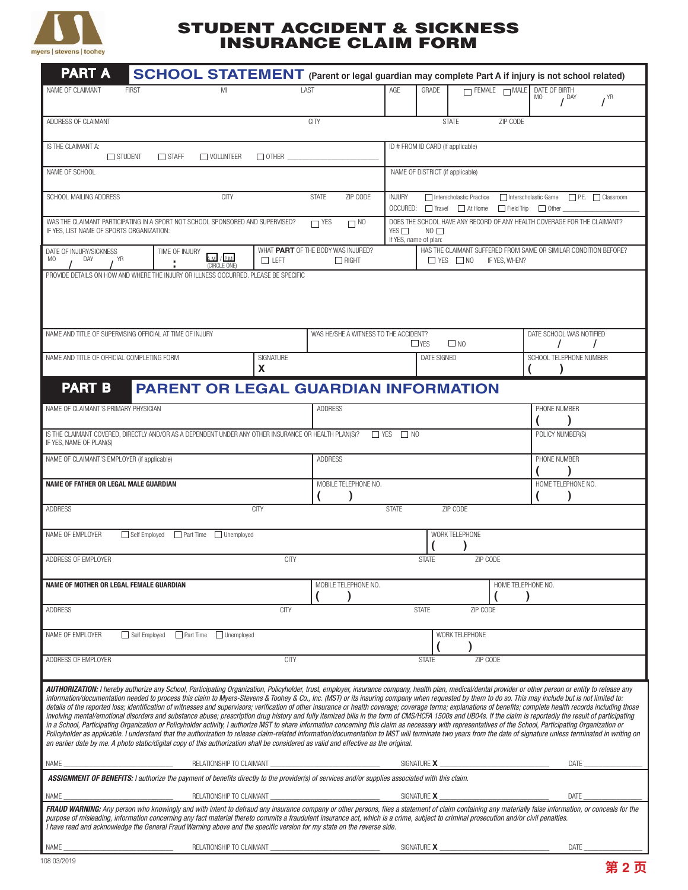

## STUDENT ACCIDENT & SICKNESS INSURANCE CLAIM FORM

| <b>PART A</b>                                                                                                                                                                                                                                                                                                                                                                                                                                                                                                                                                                                                                                                                                                                                                                                                                                                                                                                                                                                                                                                                                                                                                                                                                                                                                                                                                                                                                                                                           |                          | <b>SCHOOL STATEMENT</b> (Parent or legal guardian may complete Part A if injury is not school related) |                                                                                                                   |                                                                                                                         |                                                                                                           |                                  |                           |                    |                                          |                 |
|-----------------------------------------------------------------------------------------------------------------------------------------------------------------------------------------------------------------------------------------------------------------------------------------------------------------------------------------------------------------------------------------------------------------------------------------------------------------------------------------------------------------------------------------------------------------------------------------------------------------------------------------------------------------------------------------------------------------------------------------------------------------------------------------------------------------------------------------------------------------------------------------------------------------------------------------------------------------------------------------------------------------------------------------------------------------------------------------------------------------------------------------------------------------------------------------------------------------------------------------------------------------------------------------------------------------------------------------------------------------------------------------------------------------------------------------------------------------------------------------|--------------------------|--------------------------------------------------------------------------------------------------------|-------------------------------------------------------------------------------------------------------------------|-------------------------------------------------------------------------------------------------------------------------|-----------------------------------------------------------------------------------------------------------|----------------------------------|---------------------------|--------------------|------------------------------------------|-----------------|
| NAME OF CLAIMANT                                                                                                                                                                                                                                                                                                                                                                                                                                                                                                                                                                                                                                                                                                                                                                                                                                                                                                                                                                                                                                                                                                                                                                                                                                                                                                                                                                                                                                                                        | <b>FIRST</b>             | MI                                                                                                     |                                                                                                                   | LAST                                                                                                                    | AGE                                                                                                       | <b>GRADE</b>                     | $\Box$ FEMALE $\Box$ MALE |                    | DATE OF BIRTH<br>MO<br>$\frac{1}{2}$ DAY | $I^{\text{YR}}$ |
| ADDRESS OF CLAIMANT                                                                                                                                                                                                                                                                                                                                                                                                                                                                                                                                                                                                                                                                                                                                                                                                                                                                                                                                                                                                                                                                                                                                                                                                                                                                                                                                                                                                                                                                     |                          |                                                                                                        |                                                                                                                   | <b>CITY</b>                                                                                                             |                                                                                                           | <b>STATE</b>                     |                           | ZIP CODE           |                                          |                 |
| IS THE CLAIMANT A:<br>$\Box$ STUDENT                                                                                                                                                                                                                                                                                                                                                                                                                                                                                                                                                                                                                                                                                                                                                                                                                                                                                                                                                                                                                                                                                                                                                                                                                                                                                                                                                                                                                                                    |                          | ID # FROM ID CARD (If applicable)                                                                      |                                                                                                                   |                                                                                                                         |                                                                                                           |                                  |                           |                    |                                          |                 |
| NAME OF SCHOOL                                                                                                                                                                                                                                                                                                                                                                                                                                                                                                                                                                                                                                                                                                                                                                                                                                                                                                                                                                                                                                                                                                                                                                                                                                                                                                                                                                                                                                                                          |                          |                                                                                                        |                                                                                                                   |                                                                                                                         |                                                                                                           | NAME OF DISTRICT (if applicable) |                           |                    |                                          |                 |
| SCHOOL MAILING ADDRESS                                                                                                                                                                                                                                                                                                                                                                                                                                                                                                                                                                                                                                                                                                                                                                                                                                                                                                                                                                                                                                                                                                                                                                                                                                                                                                                                                                                                                                                                  | <b>STATE</b><br>ZIP CODE | <b>INJURY</b>                                                                                          | Interscholastic Practice<br>□ Interscholastic Game □ P.E. □ Classroom<br>OCCURED: Travel At Home Field Trip Other |                                                                                                                         |                                                                                                           |                                  |                           |                    |                                          |                 |
| WAS THE CLAIMANT PARTICIPATING IN A SPORT NOT SCHOOL SPONSORED AND SUPERVISED?<br>IF YES, LIST NAME OF SPORTS ORGANIZATION:                                                                                                                                                                                                                                                                                                                                                                                                                                                                                                                                                                                                                                                                                                                                                                                                                                                                                                                                                                                                                                                                                                                                                                                                                                                                                                                                                             |                          |                                                                                                        | $\Box$ YES<br>$\Box$ NO                                                                                           | DOES THE SCHOOL HAVE ANY RECORD OF ANY HEALTH COVERAGE FOR THE CLAIMANT?<br>YES<br>$NO$ $\Box$<br>If YES, name of plan: |                                                                                                           |                                  |                           |                    |                                          |                 |
| DATE OF INJURY/SICKNESS<br>MO<br>DAY<br><b>YR</b>                                                                                                                                                                                                                                                                                                                                                                                                                                                                                                                                                                                                                                                                                                                                                                                                                                                                                                                                                                                                                                                                                                                                                                                                                                                                                                                                                                                                                                       |                          | TIME OF INJURY<br>$AM$ / $PM$<br>(CIRCLE ONE)                                                          | $\Box$ LEFT                                                                                                       | WHAT PART OF THE BODY WAS INJURED?<br>$\Box$ RIGHT                                                                      | HAS THE CLAIMANT SUFFERED FROM SAME OR SIMILAR CONDITION BEFORE?<br>$\Box$ YES $\Box$ NO<br>IF YES, WHEN? |                                  |                           |                    |                                          |                 |
| PROVIDE DETAILS ON HOW AND WHERE THE INJURY OR ILLNESS OCCURRED. PLEASE BE SPECIFIC                                                                                                                                                                                                                                                                                                                                                                                                                                                                                                                                                                                                                                                                                                                                                                                                                                                                                                                                                                                                                                                                                                                                                                                                                                                                                                                                                                                                     |                          |                                                                                                        |                                                                                                                   |                                                                                                                         |                                                                                                           |                                  |                           |                    |                                          |                 |
| NAME AND TITLE OF SUPERVISING OFFICIAL AT TIME OF INJURY                                                                                                                                                                                                                                                                                                                                                                                                                                                                                                                                                                                                                                                                                                                                                                                                                                                                                                                                                                                                                                                                                                                                                                                                                                                                                                                                                                                                                                |                          |                                                                                                        |                                                                                                                   | WAS HE/SHE A WITNESS TO THE ACCIDENT?                                                                                   |                                                                                                           | $\Box$ YES                       | $\square$ NO              |                    | DATE SCHOOL WAS NOTIFIED                 |                 |
| NAME AND TITLE OF OFFICIAL COMPLETING FORM                                                                                                                                                                                                                                                                                                                                                                                                                                                                                                                                                                                                                                                                                                                                                                                                                                                                                                                                                                                                                                                                                                                                                                                                                                                                                                                                                                                                                                              |                          |                                                                                                        | SIGNATURE<br>X                                                                                                    |                                                                                                                         |                                                                                                           | DATE SIGNED                      |                           |                    | SCHOOL TELEPHONE NUMBER                  |                 |
| <b>PART B</b>                                                                                                                                                                                                                                                                                                                                                                                                                                                                                                                                                                                                                                                                                                                                                                                                                                                                                                                                                                                                                                                                                                                                                                                                                                                                                                                                                                                                                                                                           |                          | <b>PARENT OR LEGAL GUARDIAN INFORMATION</b>                                                            |                                                                                                                   |                                                                                                                         |                                                                                                           |                                  |                           |                    |                                          |                 |
| NAME OF CLAIMANT'S PRIMARY PHYSICIAN                                                                                                                                                                                                                                                                                                                                                                                                                                                                                                                                                                                                                                                                                                                                                                                                                                                                                                                                                                                                                                                                                                                                                                                                                                                                                                                                                                                                                                                    | <b>ADDRESS</b>           |                                                                                                        |                                                                                                                   |                                                                                                                         |                                                                                                           | PHONE NUMBER                     |                           |                    |                                          |                 |
| IS THE CLAIMANT COVERED, DIRECTLY AND/OR AS A DEPENDENT UNDER ANY OTHER INSURANCE OR HEALTH PLAN(S)?<br>IF YES, NAME OF PLAN(S)                                                                                                                                                                                                                                                                                                                                                                                                                                                                                                                                                                                                                                                                                                                                                                                                                                                                                                                                                                                                                                                                                                                                                                                                                                                                                                                                                         |                          |                                                                                                        |                                                                                                                   |                                                                                                                         | $\Box$ Yes<br>$\Box$ NO                                                                                   |                                  |                           |                    | POLICY NUMBER(S)                         |                 |
| NAME OF CLAIMANT'S EMPLOYER (if applicable)                                                                                                                                                                                                                                                                                                                                                                                                                                                                                                                                                                                                                                                                                                                                                                                                                                                                                                                                                                                                                                                                                                                                                                                                                                                                                                                                                                                                                                             | <b>ADDRESS</b>           |                                                                                                        |                                                                                                                   |                                                                                                                         |                                                                                                           | PHONE NUMBER                     |                           |                    |                                          |                 |
| NAME OF FATHER OR LEGAL MALE GUARDIAN                                                                                                                                                                                                                                                                                                                                                                                                                                                                                                                                                                                                                                                                                                                                                                                                                                                                                                                                                                                                                                                                                                                                                                                                                                                                                                                                                                                                                                                   |                          |                                                                                                        |                                                                                                                   | MOBILE TELEPHONE NO.                                                                                                    |                                                                                                           |                                  |                           |                    | HOME TELEPHONE NO.                       |                 |
| <b>ADDRESS</b>                                                                                                                                                                                                                                                                                                                                                                                                                                                                                                                                                                                                                                                                                                                                                                                                                                                                                                                                                                                                                                                                                                                                                                                                                                                                                                                                                                                                                                                                          |                          |                                                                                                        | <b>CITY</b>                                                                                                       |                                                                                                                         | <b>STATE</b>                                                                                              | ZIP CODE                         |                           |                    |                                          |                 |
| WORK TELEPHONE<br>NAME OF EMPLOYER<br>Self Employed Part Time Intermployed                                                                                                                                                                                                                                                                                                                                                                                                                                                                                                                                                                                                                                                                                                                                                                                                                                                                                                                                                                                                                                                                                                                                                                                                                                                                                                                                                                                                              |                          |                                                                                                        |                                                                                                                   |                                                                                                                         |                                                                                                           |                                  |                           |                    |                                          |                 |
| ADDRESS OF EMPLOYER                                                                                                                                                                                                                                                                                                                                                                                                                                                                                                                                                                                                                                                                                                                                                                                                                                                                                                                                                                                                                                                                                                                                                                                                                                                                                                                                                                                                                                                                     |                          |                                                                                                        | <b>CITY</b>                                                                                                       |                                                                                                                         |                                                                                                           | <b>STATE</b>                     | ZIP CODE                  |                    |                                          |                 |
| NAME OF MOTHER OR LEGAL FEMALE GUARDIAN                                                                                                                                                                                                                                                                                                                                                                                                                                                                                                                                                                                                                                                                                                                                                                                                                                                                                                                                                                                                                                                                                                                                                                                                                                                                                                                                                                                                                                                 |                          |                                                                                                        |                                                                                                                   | MOBILE TELEPHONE NO.                                                                                                    |                                                                                                           |                                  |                           | HOME TELEPHONE NO. |                                          |                 |
| <b>ADDRESS</b>                                                                                                                                                                                                                                                                                                                                                                                                                                                                                                                                                                                                                                                                                                                                                                                                                                                                                                                                                                                                                                                                                                                                                                                                                                                                                                                                                                                                                                                                          |                          |                                                                                                        | <b>CITY</b>                                                                                                       |                                                                                                                         |                                                                                                           | <b>STATE</b>                     | ZIP CODE                  |                    |                                          |                 |
| NAME OF EMPLOYER                                                                                                                                                                                                                                                                                                                                                                                                                                                                                                                                                                                                                                                                                                                                                                                                                                                                                                                                                                                                                                                                                                                                                                                                                                                                                                                                                                                                                                                                        |                          | Self Employed Part Time Unemployed                                                                     |                                                                                                                   |                                                                                                                         |                                                                                                           |                                  | WORK TELEPHONE            |                    |                                          |                 |
| ADDRESS OF EMPLOYER                                                                                                                                                                                                                                                                                                                                                                                                                                                                                                                                                                                                                                                                                                                                                                                                                                                                                                                                                                                                                                                                                                                                                                                                                                                                                                                                                                                                                                                                     |                          |                                                                                                        | <b>CITY</b>                                                                                                       |                                                                                                                         |                                                                                                           | <b>STATE</b>                     | ZIP CODE                  |                    |                                          |                 |
| AUTHORIZATION: I hereby authorize any School, Participating Organization, Policyholder, trust, employer, insurance company, health plan, medical/dental provider or other person or entity to release any<br>information/documentation needed to process this claim to Myers-Stevens & Toohey & Co., Inc. (MST) or its insuring company when requested by them to do so. This may include but is not limited to:<br>details of the reported loss; identification of witnesses and supervisors; verification of other insurance or health coverage; coverage terms; explanations of benefits; complete health records including those<br>involving mental/emotional disorders and substance abuse; prescription drug history and fully itemized bills in the form of CMS/HCFA 1500s and UB04s. If the claim is reportedly the result of participating<br>in a School, Participating Organization or Policyholder activity, I authorize MST to share information concerning this claim as necessary with representatives of the School, Participating Organization or<br>Policyholder as applicable. I understand that the authorization to release claim-related information/documentation to MST will terminate two years from the date of signature unless terminated in writing on<br>an earlier date by me. A photo static/digital copy of this authorization shall be considered as valid and effective as the original.<br>SIGNATURE X<br>RELATIONSHIP TO CLAIMANT<br>NAME<br>DATE |                          |                                                                                                        |                                                                                                                   |                                                                                                                         |                                                                                                           |                                  |                           |                    |                                          |                 |
| ASSIGNMENT OF BENEFITS: I authorize the payment of benefits directly to the provider(s) of services and/or supplies associated with this claim.                                                                                                                                                                                                                                                                                                                                                                                                                                                                                                                                                                                                                                                                                                                                                                                                                                                                                                                                                                                                                                                                                                                                                                                                                                                                                                                                         |                          |                                                                                                        |                                                                                                                   |                                                                                                                         |                                                                                                           |                                  |                           |                    |                                          |                 |
| NAME                                                                                                                                                                                                                                                                                                                                                                                                                                                                                                                                                                                                                                                                                                                                                                                                                                                                                                                                                                                                                                                                                                                                                                                                                                                                                                                                                                                                                                                                                    |                          | RELATIONSHIP TO CLAIMANT                                                                               |                                                                                                                   |                                                                                                                         |                                                                                                           | SIGNATURE X                      |                           |                    | DATE                                     |                 |
| FRAUD WARNING: Any person who knowingly and with intent to defraud any insurance company or other persons, files a statement of claim containing any materially false information, or conceals for the<br>purpose of misleading, information concerning any fact material thereto commits a fraudulent insurance act, which is a crime, subject to criminal prosecution and/or civil penalties.<br>I have read and acknowledge the General Fraud Warning above and the specific version for my state on the reverse side.                                                                                                                                                                                                                                                                                                                                                                                                                                                                                                                                                                                                                                                                                                                                                                                                                                                                                                                                                               |                          |                                                                                                        |                                                                                                                   |                                                                                                                         |                                                                                                           |                                  |                           |                    |                                          |                 |
| NAME                                                                                                                                                                                                                                                                                                                                                                                                                                                                                                                                                                                                                                                                                                                                                                                                                                                                                                                                                                                                                                                                                                                                                                                                                                                                                                                                                                                                                                                                                    |                          |                                                                                                        |                                                                                                                   |                                                                                                                         |                                                                                                           |                                  |                           |                    | DATE                                     |                 |